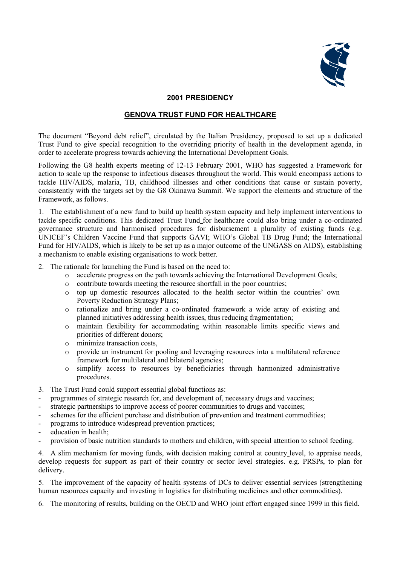

#### **2001 PRESIDENCY**

#### **GENOVA TRUST FUND FOR HEALTHCARE**

The document "Beyond debt relief", circulated by the Italian Presidency, proposed to set up a dedicated Trust Fund to give special recognition to the overriding priority of health in the development agenda, in order to accelerate progress towards achieving the International Development Goals.

Following the G8 health experts meeting of 12-13 February 2001, WHO has suggested a Framework for action to scale up the response to infectious diseases throughout the world. This would encompass actions to tackle HIV/AIDS, malaria, TB, childhood illnesses and other conditions that cause or sustain poverty, consistently with the targets set by the G8 Okinawa Summit. We support the elements and structure of the Framework, as follows.

1. The establishment of a new fund to build up health system capacity and help implement interventions to tackle specific conditions. This dedicated Trust Fund for healthcare could also bring under a co-ordinated governance structure and harmonised procedures for disbursement a plurality of existing funds (e.g. UNICEF's Children Vaccine Fund that supports GAVI; WHO's Global TB Drug Fund; the International Fund for HIV/AIDS, which is likely to be set up as a major outcome of the UNGASS on AIDS), establishing a mechanism to enable existing organisations to work better.

2. The rationale for launching the Fund is based on the need to:

- o accelerate progress on the path towards achieving the International Development Goals;
- o contribute towards meeting the resource shortfall in the poor countries;
- o top up domestic resources allocated to the health sector within the countries' own Poverty Reduction Strategy Plans;
- o rationalize and bring under a co-ordinated framework a wide array of existing and planned initiatives addressing health issues, thus reducing fragmentation;
- o maintain flexibility for accommodating within reasonable limits specific views and priorities of different donors;
- o minimize transaction costs,
- o provide an instrument for pooling and leveraging resources into a multilateral reference framework for multilateral and bilateral agencies;
- o simplify access to resources by beneficiaries through harmonized administrative procedures.
- 3. The Trust Fund could support essential global functions as:
- programmes of strategic research for, and development of, necessary drugs and vaccines;
- strategic partnerships to improve access of poorer communities to drugs and vaccines;
- schemes for the efficient purchase and distribution of prevention and treatment commodities;
- programs to introduce widespread prevention practices;
- education in health;
- provision of basic nutrition standards to mothers and children, with special attention to school feeding.

4. A slim mechanism for moving funds, with decision making control at country level, to appraise needs, develop requests for support as part of their country or sector level strategies. e.g. PRSPs, to plan for delivery.

5. The improvement of the capacity of health systems of DCs to deliver essential services (strengthening human resources capacity and investing in logistics for distributing medicines and other commodities).

6. The monitoring of results, building on the OECD and WHO joint effort engaged since 1999 in this field.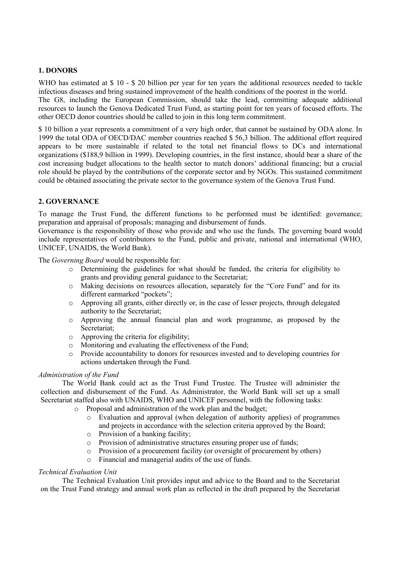# **1. DONORS**

WHO has estimated at \$ 10 - \$ 20 billion per year for ten years the additional resources needed to tackle infectious diseases and bring sustained improvement of the health conditions of the poorest in the world. The G8, including the European Commission, should take the lead, committing adequate additional resources to launch the Genova Dedicated Trust Fund, as starting point for ten years of focused efforts. The other OECD donor countries should be called to join in this long term commitment.

\$ 10 billion a year represents a commitment of a very high order, that cannot be sustained by ODA alone. In 1999 the total ODA of OECD/DAC member countries reached \$ 56,3 billion. The additional effort required appears to be more sustainable if related to the total net financial flows to DCs and international organizations (\$188,9 billion in 1999). Developing countries, in the first instance, should bear a share of the cost increasing budget allocations to the health sector to match donors' additional financing; but a crucial role should be played by the contributions of the corporate sector and by NGOs. This sustained commitment could be obtained associating the private sector to the governance system of the Genova Trust Fund.

# **2. GOVERNANCE**

To manage the Trust Fund, the different functions to be performed must be identified: governance; preparation and appraisal of proposals; managing and disbursement of funds.

Governance is the responsibility of those who provide and who use the funds. The governing board would include representatives of contributors to the Fund, public and private, national and international (WHO, UNICEF, UNAIDS, the World Bank).

The *Governing Board* would be responsible for:

- o Determining the guidelines for what should be funded, the criteria for eligibility to grants and providing general guidance to the Secretariat;
- o Making decisions on resources allocation, separately for the "Core Fund" and for its different earmarked "pockets";
- o Approving all grants, either directly or, in the case of lesser projects, through delegated authority to the Secretariat;
- o Approving the annual financial plan and work programme, as proposed by the Secretariat;
- o Approving the criteria for eligibility;
- o Monitoring and evaluating the effectiveness of the Fund;
- o Provide accountability to donors for resources invested and to developing countries for actions undertaken through the Fund.

#### *Administration of the Fund*

The World Bank could act as the Trust Fund Trustee. The Trustee will administer the collection and disbursement of the Fund. As Administrator, the World Bank will set up a small Secretariat staffed also with UNAIDS, WHO and UNICEF personnel, with the following tasks:

- o Proposal and administration of the work plan and the budget;
	- o Evaluation and approval (when delegation of authority applies) of programmes and projects in accordance with the selection criteria approved by the Board;
	- o Provision of a banking facility;
	- o Provision of administrative structures ensuring proper use of funds;
	- o Provision of a procurement facility (or oversight of procurement by others)
	- o Financial and managerial audits of the use of funds.

# *Technical Evaluation Unit*

The Technical Evaluation Unit provides input and advice to the Board and to the Secretariat on the Trust Fund strategy and annual work plan as reflected in the draft prepared by the Secretariat